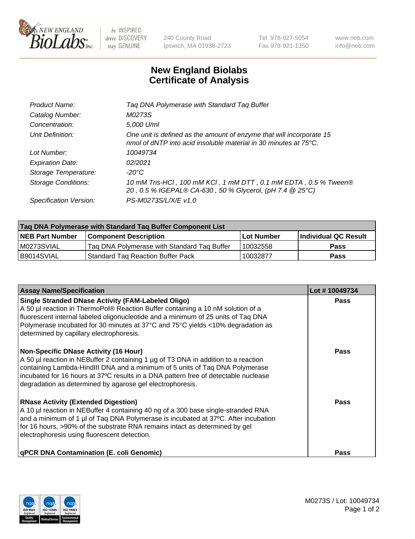

 $be$  INSPIRED drive DISCOVERY stay GENUINE

240 County Road Ipswich, MA 01938-2723 Tel 978-927-5054 Fax 978-921-1350 www.neb.com info@neb.com

## **New England Biolabs Certificate of Analysis**

| Product Name:              | Tag DNA Polymerase with Standard Tag Buffer                                                                                                        |
|----------------------------|----------------------------------------------------------------------------------------------------------------------------------------------------|
| Catalog Number:            | M0273S                                                                                                                                             |
| Concentration:             | 5,000 U/ml                                                                                                                                         |
| Unit Definition:           | One unit is defined as the amount of enzyme that will incorporate 15<br>nmol of dNTP into acid insoluble material in 30 minutes at $75^{\circ}$ C. |
| Lot Number:                | 10049734                                                                                                                                           |
| <b>Expiration Date:</b>    | 02/2021                                                                                                                                            |
| Storage Temperature:       | $-20^{\circ}$ C                                                                                                                                    |
| <b>Storage Conditions:</b> | 10 mM Tris-HCl, 100 mM KCl, 1 mM DTT, 0.1 mM EDTA, 0.5 % Tween®<br>20, 0.5 % IGEPAL® CA-630, 50 % Glycerol, (pH 7.4 @ 25°C)                        |
| Specification Version:     | PS-M0273S/L/X/E v1.0                                                                                                                               |

| Tag DNA Polymerase with Standard Tag Buffer Component List |                                             |                   |                      |  |
|------------------------------------------------------------|---------------------------------------------|-------------------|----------------------|--|
| <b>NEB Part Number</b>                                     | <b>Component Description</b>                | <b>Lot Number</b> | Individual QC Result |  |
| M0273SVIAL                                                 | Tag DNA Polymerase with Standard Tag Buffer | 10032558          | <b>Pass</b>          |  |
| B9014SVIAL                                                 | Standard Tag Reaction Buffer Pack           | 10032877          | <b>Pass</b>          |  |

| <b>Assay Name/Specification</b>                                                                                                                                                                                                                                                                                                                                        | Lot #10049734 |
|------------------------------------------------------------------------------------------------------------------------------------------------------------------------------------------------------------------------------------------------------------------------------------------------------------------------------------------------------------------------|---------------|
| <b>Single Stranded DNase Activity (FAM-Labeled Oligo)</b><br>A 50 µl reaction in ThermoPol® Reaction Buffer containing a 10 nM solution of a<br>fluorescent internal labeled oligonucleotide and a minimum of 25 units of Taq DNA<br>Polymerase incubated for 30 minutes at 37°C and 75°C yields <10% degradation as<br>determined by capillary electrophoresis.       | <b>Pass</b>   |
| <b>Non-Specific DNase Activity (16 Hour)</b><br>A 50 µl reaction in NEBuffer 2 containing 1 µg of T3 DNA in addition to a reaction<br>containing Lambda-HindIII DNA and a minimum of 5 units of Taq DNA Polymerase<br>incubated for 16 hours at 37°C results in a DNA pattern free of detectable nuclease<br>degradation as determined by agarose gel electrophoresis. | Pass          |
| <b>RNase Activity (Extended Digestion)</b><br>A 10 µl reaction in NEBuffer 4 containing 40 ng of a 300 base single-stranded RNA<br>and a minimum of 1 µl of Taq DNA Polymerase is incubated at 37°C. After incubation<br>for 16 hours, >90% of the substrate RNA remains intact as determined by gel<br>electrophoresis using fluorescent detection.                   | Pass          |
| <b>qPCR DNA Contamination (E. coli Genomic)</b>                                                                                                                                                                                                                                                                                                                        | Pass          |